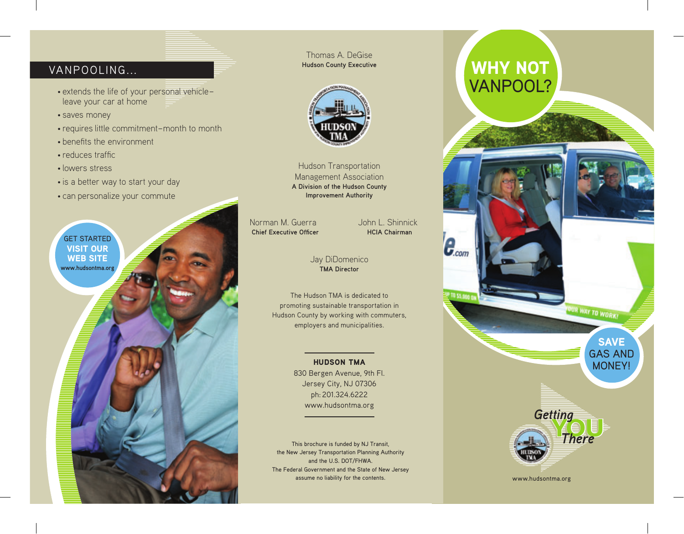# VANPOOLING...

- extends the life of your personal vehicle– leave your car at home
- saves money
- requires little commitment–month to month
- benefits the environment
- $\cdot$  reduces traffic
- lowers stress
- is a better way to start your day
- can personalize your commute



Thomas A. DeGise **Hudson County Executive**



Hudson Transportation Management Association **A Division of the Hudson County Improvement Authority**

Norman M. Guerra John L. Shinnick **Chief Executive Officer Manual HCIA Chairman** 

 $\boldsymbol{e}_{\textit{\tiny comm}}$ 

#### Jay DiDomenico **TMA Director**

The Hudson TMA is dedicated to promoting sustainable transportation in Hudson County by working with commuters, employers and municipalities.

#### HUDSON TMA

830 Bergen Avenue, 9th Fl. Jersey City, NJ 07306 ph: 201.324.6222 www.hudsontma.org

This brochure is funded by NJ Transit, the New Jersey Transportation Planning Authority and the U.S. DOT/FHWA. The Federal Government and the State of New Jersey assume no liability for the contents.

# WHY NOT VANPOOL?



SAVE GAS AND MONEY!

OUR WAY TO WORK!



www.hudsontma.org